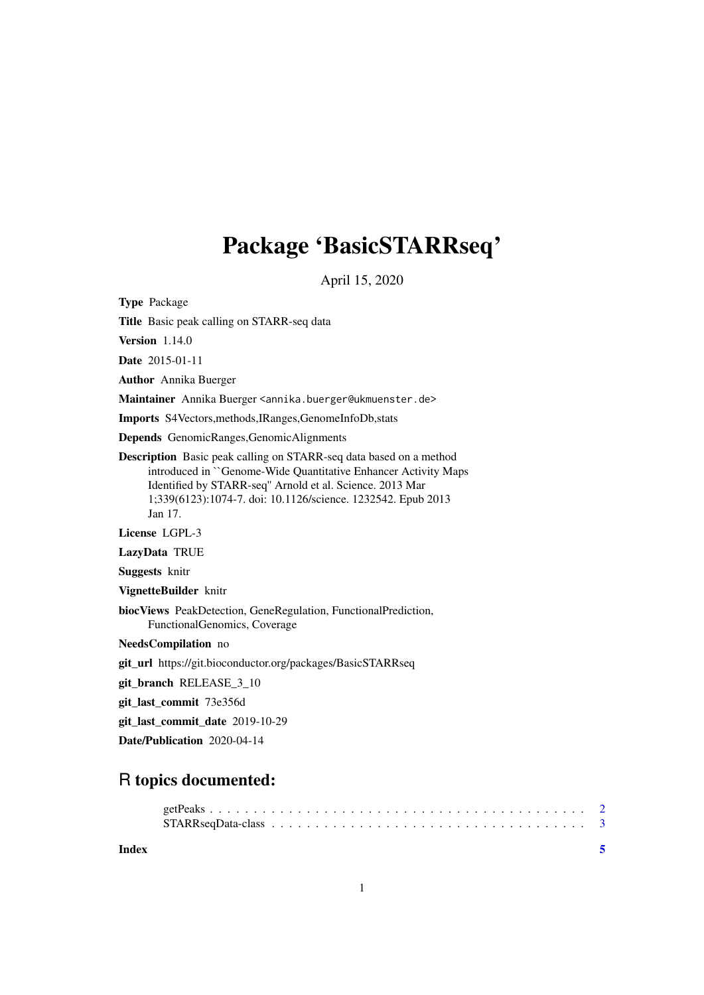# Package 'BasicSTARRseq'

April 15, 2020

<span id="page-0-0"></span>Type Package

Title Basic peak calling on STARR-seq data

Version 1.14.0

Date 2015-01-11

Author Annika Buerger

Maintainer Annika Buerger <annika.buerger@ukmuenster.de>

Imports S4Vectors,methods,IRanges,GenomeInfoDb,stats

Depends GenomicRanges,GenomicAlignments

Description Basic peak calling on STARR-seq data based on a method introduced in ``Genome-Wide Quantitative Enhancer Activity Maps Identified by STARR-seq'' Arnold et al. Science. 2013 Mar 1;339(6123):1074-7. doi: 10.1126/science. 1232542. Epub 2013 Jan 17.

License LGPL-3

LazyData TRUE

Suggests knitr

VignetteBuilder knitr

biocViews PeakDetection, GeneRegulation, FunctionalPrediction, FunctionalGenomics, Coverage

NeedsCompilation no

git\_url https://git.bioconductor.org/packages/BasicSTARRseq

git\_branch RELEASE\_3\_10

git\_last\_commit 73e356d

git\_last\_commit\_date 2019-10-29

Date/Publication 2020-04-14

# R topics documented:

**Index** [5](#page-4-0). The second state of the second state of the second state of the second state of the second state of the second state of the second state of the second state of the second state of the second state of the second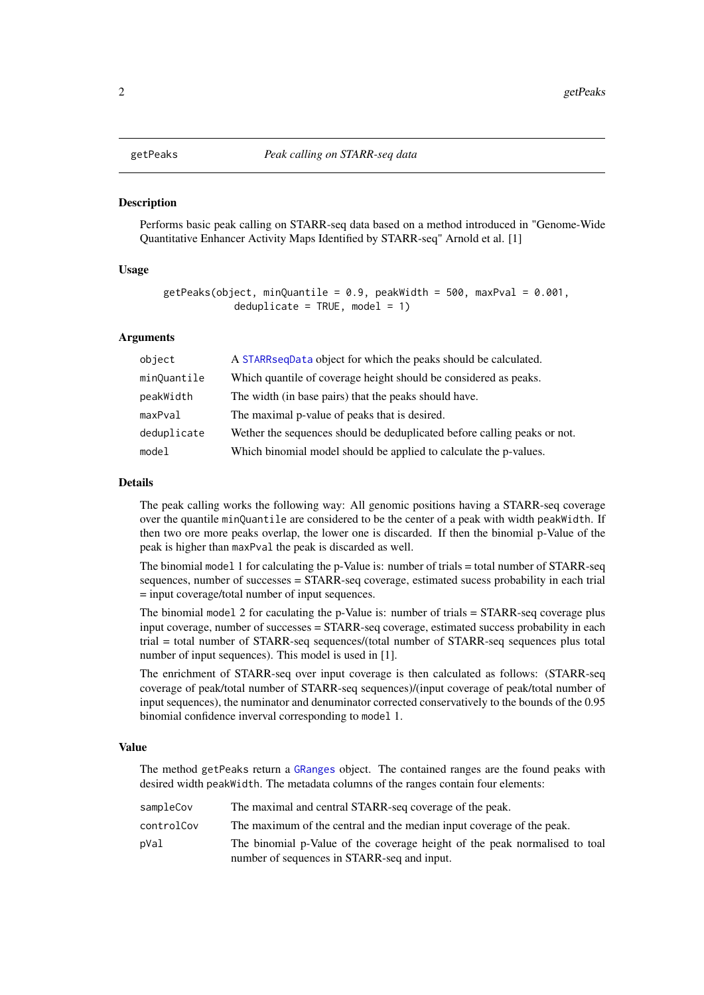<span id="page-1-1"></span><span id="page-1-0"></span>

#### Description

Performs basic peak calling on STARR-seq data based on a method introduced in "Genome-Wide Quantitative Enhancer Activity Maps Identified by STARR-seq" Arnold et al. [1]

# Usage

```
getPeaks(object, minQuantile = 0.9, peakWidth = 500, maxPval = 0.001,
            deduplicate = TRUE, model = 1)
```
#### Arguments

| object      | A STARR sequenter object for which the peaks should be calculated.       |
|-------------|--------------------------------------------------------------------------|
| minQuantile | Which quantile of coverage height should be considered as peaks.         |
| peakWidth   | The width (in base pairs) that the peaks should have.                    |
| maxPval     | The maximal p-value of peaks that is desired.                            |
| deduplicate | Wether the sequences should be deduplicated before calling peaks or not. |
| model       | Which binomial model should be applied to calculate the p-values.        |

#### Details

The peak calling works the following way: All genomic positions having a STARR-seq coverage over the quantile minQuantile are considered to be the center of a peak with width peakWidth. If then two ore more peaks overlap, the lower one is discarded. If then the binomial p-Value of the peak is higher than maxPval the peak is discarded as well.

The binomial model 1 for calculating the p-Value is: number of trials = total number of STARR-seq sequences, number of successes = STARR-seq coverage, estimated sucess probability in each trial = input coverage/total number of input sequences.

The binomial model 2 for caculating the p-Value is: number of trials = STARR-seq coverage plus input coverage, number of successes = STARR-seq coverage, estimated success probability in each trial = total number of STARR-seq sequences/(total number of STARR-seq sequences plus total number of input sequences). This model is used in [1].

The enrichment of STARR-seq over input coverage is then calculated as follows: (STARR-seq coverage of peak/total number of STARR-seq sequences)/(input coverage of peak/total number of input sequences), the numinator and denuminator corrected conservatively to the bounds of the 0.95 binomial confidence inverval corresponding to model 1.

# Value

The method getPeaks return a [GRanges](#page-0-0) object. The contained ranges are the found peaks with desired width peakWidth. The metadata columns of the ranges contain four elements:

sampleCov The maximal and central STARR-seq coverage of the peak. controlCov The maximum of the central and the median input coverage of the peak. pVal The binomial p-Value of the coverage height of the peak normalised to toal number of sequences in STARR-seq and input.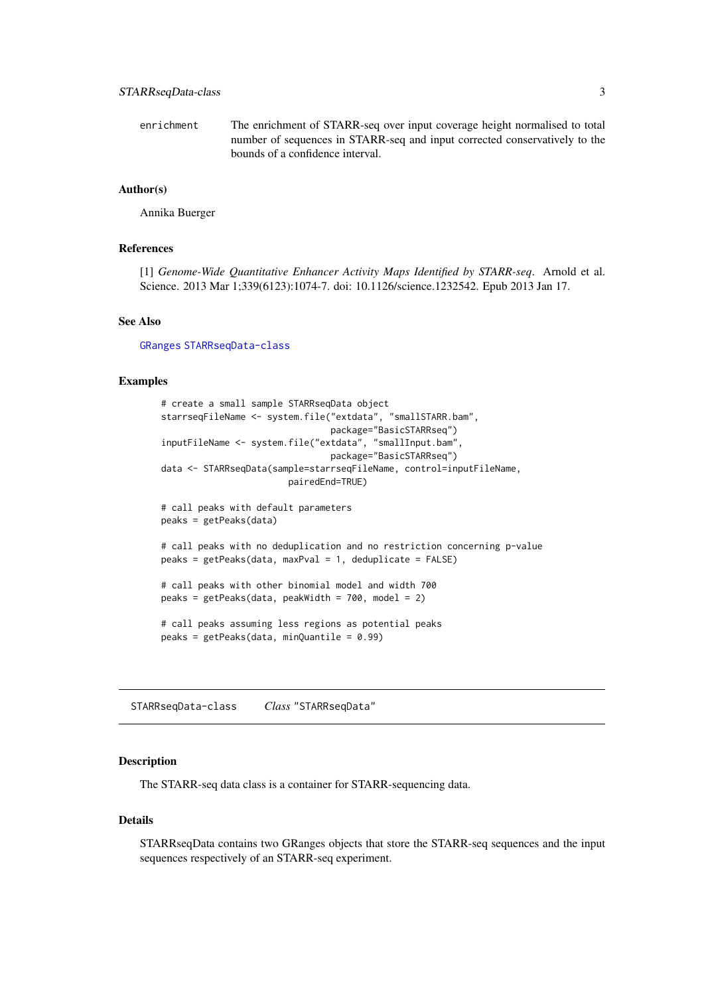<span id="page-2-0"></span>enrichment The enrichment of STARR-seq over input coverage height normalised to total number of sequences in STARR-seq and input corrected conservatively to the bounds of a confidence interval.

# Author(s)

Annika Buerger

# References

[1] *Genome-Wide Quantitative Enhancer Activity Maps Identified by STARR-seq*. Arnold et al. Science. 2013 Mar 1;339(6123):1074-7. doi: 10.1126/science.1232542. Epub 2013 Jan 17.

# See Also

[GRanges](#page-0-0) [STARRseqData-class](#page-2-2)

# Examples

```
# create a small sample STARRseqData object
starrseqFileName <- system.file("extdata", "smallSTARR.bam",
                                package="BasicSTARRseq")
inputFileName <- system.file("extdata", "smallInput.bam",
                                package="BasicSTARRseq")
data <- STARRseqData(sample=starrseqFileName, control=inputFileName,
                       pairedEnd=TRUE)
# call peaks with default parameters
peaks = getPeaks(data)
# call peaks with no deduplication and no restriction concerning p-value
peaks = getPeaks(data, maxPval = 1, deduplicate = FALSE)
# call peaks with other binomial model and width 700
peaks = getPeaks(data, peakWidth = 700, model = 2)
# call peaks assuming less regions as potential peaks
peaks = getPeaks(data, minQuantile = 0.99)
```
<span id="page-2-2"></span>STARRseqData-class *Class* "STARRseqData"

#### <span id="page-2-1"></span>Description

The STARR-seq data class is a container for STARR-sequencing data.

# Details

STARRseqData contains two GRanges objects that store the STARR-seq sequences and the input sequences respectively of an STARR-seq experiment.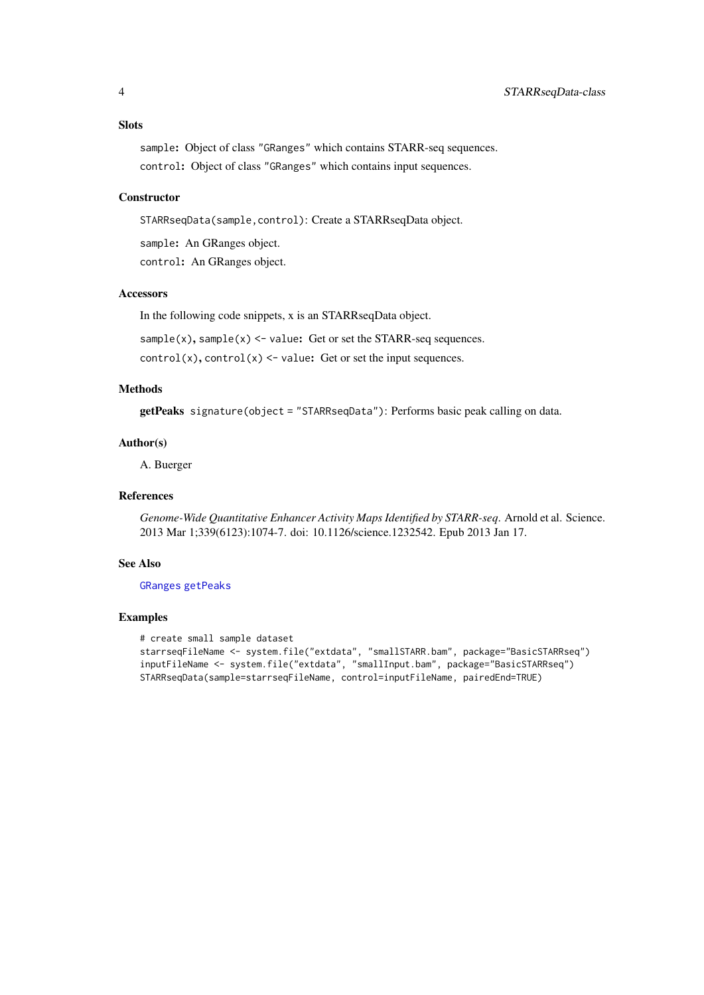# <span id="page-3-0"></span>Slots

sample: Object of class "GRanges" which contains STARR-seq sequences. control: Object of class "GRanges" which contains input sequences.

# **Constructor**

STARRseqData(sample,control): Create a STARRseqData object.

sample: An GRanges object.

control: An GRanges object.

# Accessors

In the following code snippets, x is an STARRseqData object.

 $sample(x)$ ,  $sample(x)$  <- value: Get or set the STARR-seq sequences.

 $control(x)$ ,  $control(x)$  <- value: Get or set the input sequences.

# Methods

getPeaks signature(object = "STARRseqData"): Performs basic peak calling on data.

#### Author(s)

A. Buerger

#### References

*Genome-Wide Quantitative Enhancer Activity Maps Identified by STARR-seq*. Arnold et al. Science. 2013 Mar 1;339(6123):1074-7. doi: 10.1126/science.1232542. Epub 2013 Jan 17.

# See Also

[GRanges](#page-0-0) [getPeaks](#page-1-1)

#### Examples

```
# create small sample dataset
starrseqFileName <- system.file("extdata", "smallSTARR.bam", package="BasicSTARRseq")
inputFileName <- system.file("extdata", "smallInput.bam", package="BasicSTARRseq")
STARRseqData(sample=starrseqFileName, control=inputFileName, pairedEnd=TRUE)
```